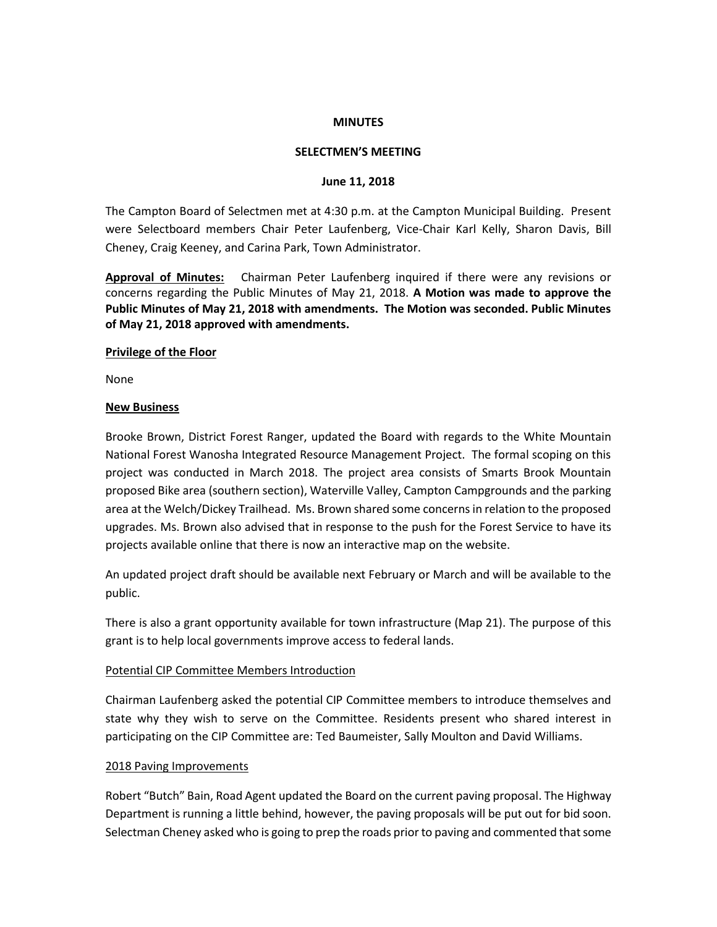## **MINUTES**

#### **SELECTMEN'S MEETING**

#### **June 11, 2018**

The Campton Board of Selectmen met at 4:30 p.m. at the Campton Municipal Building. Present were Selectboard members Chair Peter Laufenberg, Vice-Chair Karl Kelly, Sharon Davis, Bill Cheney, Craig Keeney, and Carina Park, Town Administrator.

**Approval of Minutes:** Chairman Peter Laufenberg inquired if there were any revisions or concerns regarding the Public Minutes of May 21, 2018. **A Motion was made to approve the Public Minutes of May 21, 2018 with amendments. The Motion was seconded. Public Minutes of May 21, 2018 approved with amendments.**

#### **Privilege of the Floor**

None

#### **New Business**

Brooke Brown, District Forest Ranger, updated the Board with regards to the White Mountain National Forest Wanosha Integrated Resource Management Project. The formal scoping on this project was conducted in March 2018. The project area consists of Smarts Brook Mountain proposed Bike area (southern section), Waterville Valley, Campton Campgrounds and the parking area at the Welch/Dickey Trailhead. Ms. Brown shared some concerns in relation to the proposed upgrades. Ms. Brown also advised that in response to the push for the Forest Service to have its projects available online that there is now an interactive map on the website.

An updated project draft should be available next February or March and will be available to the public.

There is also a grant opportunity available for town infrastructure (Map 21). The purpose of this grant is to help local governments improve access to federal lands.

## Potential CIP Committee Members Introduction

Chairman Laufenberg asked the potential CIP Committee members to introduce themselves and state why they wish to serve on the Committee. Residents present who shared interest in participating on the CIP Committee are: Ted Baumeister, Sally Moulton and David Williams.

## 2018 Paving Improvements

Robert "Butch" Bain, Road Agent updated the Board on the current paving proposal. The Highway Department is running a little behind, however, the paving proposals will be put out for bid soon. Selectman Cheney asked who is going to prep the roads prior to paving and commented that some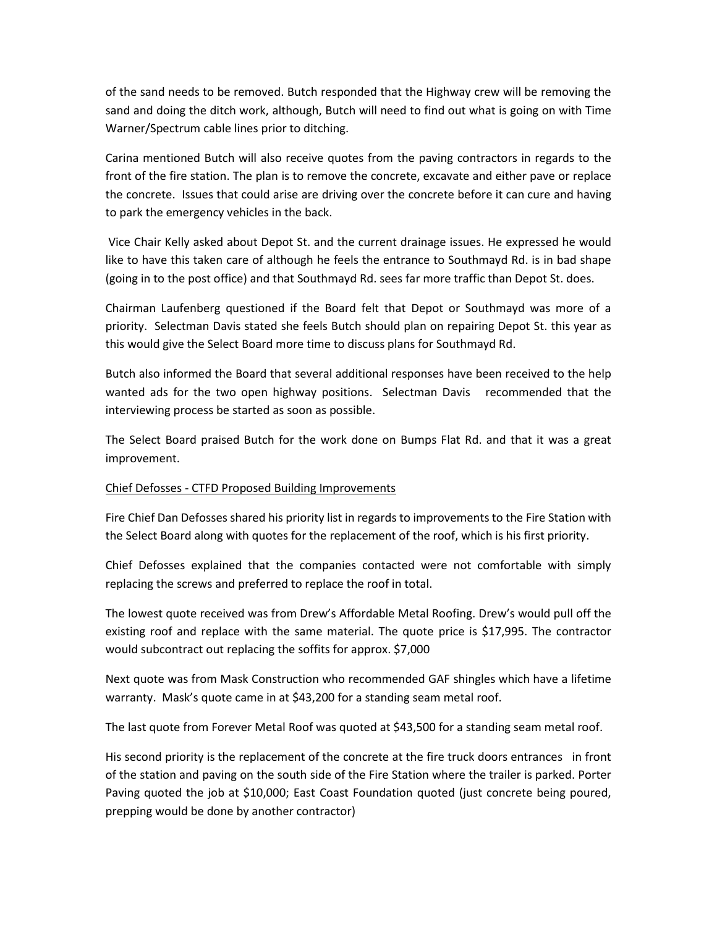of the sand needs to be removed. Butch responded that the Highway crew will be removing the sand and doing the ditch work, although, Butch will need to find out what is going on with Time Warner/Spectrum cable lines prior to ditching.

Carina mentioned Butch will also receive quotes from the paving contractors in regards to the front of the fire station. The plan is to remove the concrete, excavate and either pave or replace the concrete. Issues that could arise are driving over the concrete before it can cure and having to park the emergency vehicles in the back.

Vice Chair Kelly asked about Depot St. and the current drainage issues. He expressed he would like to have this taken care of although he feels the entrance to Southmayd Rd. is in bad shape (going in to the post office) and that Southmayd Rd. sees far more traffic than Depot St. does.

Chairman Laufenberg questioned if the Board felt that Depot or Southmayd was more of a priority. Selectman Davis stated she feels Butch should plan on repairing Depot St. this year as this would give the Select Board more time to discuss plans for Southmayd Rd.

Butch also informed the Board that several additional responses have been received to the help wanted ads for the two open highway positions. Selectman Davis recommended that the interviewing process be started as soon as possible.

The Select Board praised Butch for the work done on Bumps Flat Rd. and that it was a great improvement.

# Chief Defosses - CTFD Proposed Building Improvements

Fire Chief Dan Defosses shared his priority list in regards to improvements to the Fire Station with the Select Board along with quotes for the replacement of the roof, which is his first priority.

Chief Defosses explained that the companies contacted were not comfortable with simply replacing the screws and preferred to replace the roof in total.

The lowest quote received was from Drew's Affordable Metal Roofing. Drew's would pull off the existing roof and replace with the same material. The quote price is \$17,995. The contractor would subcontract out replacing the soffits for approx. \$7,000

Next quote was from Mask Construction who recommended GAF shingles which have a lifetime warranty. Mask's quote came in at \$43,200 for a standing seam metal roof.

The last quote from Forever Metal Roof was quoted at \$43,500 for a standing seam metal roof.

His second priority is the replacement of the concrete at the fire truck doors entrances in front of the station and paving on the south side of the Fire Station where the trailer is parked. Porter Paving quoted the job at \$10,000; East Coast Foundation quoted (just concrete being poured, prepping would be done by another contractor)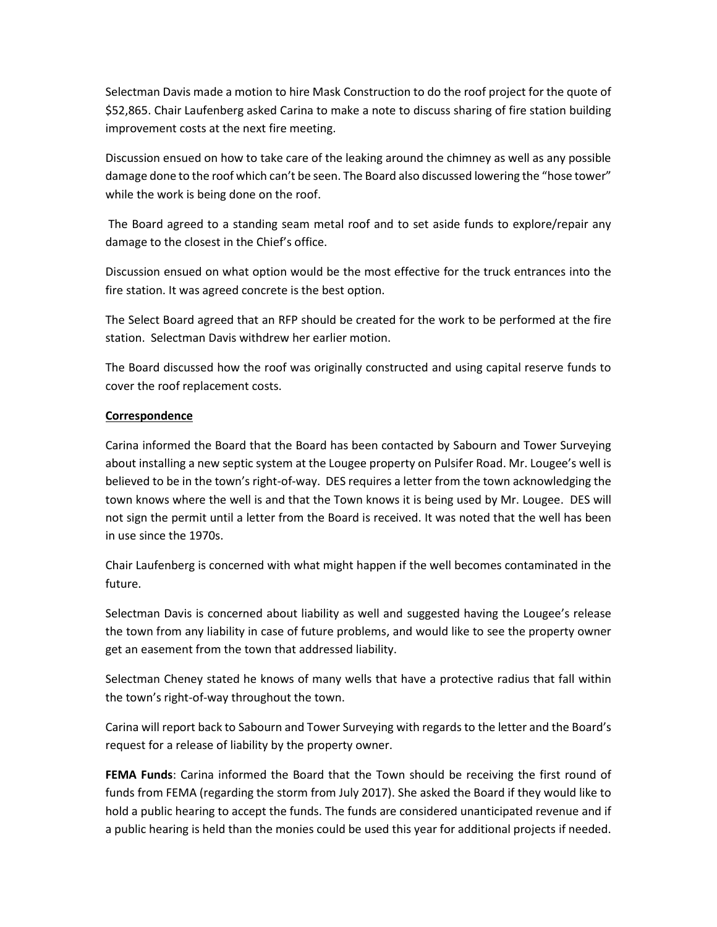Selectman Davis made a motion to hire Mask Construction to do the roof project for the quote of \$52,865. Chair Laufenberg asked Carina to make a note to discuss sharing of fire station building improvement costs at the next fire meeting.

Discussion ensued on how to take care of the leaking around the chimney as well as any possible damage done to the roof which can't be seen. The Board also discussed lowering the "hose tower" while the work is being done on the roof.

The Board agreed to a standing seam metal roof and to set aside funds to explore/repair any damage to the closest in the Chief's office.

Discussion ensued on what option would be the most effective for the truck entrances into the fire station. It was agreed concrete is the best option.

The Select Board agreed that an RFP should be created for the work to be performed at the fire station. Selectman Davis withdrew her earlier motion.

The Board discussed how the roof was originally constructed and using capital reserve funds to cover the roof replacement costs.

# **Correspondence**

Carina informed the Board that the Board has been contacted by Sabourn and Tower Surveying about installing a new septic system at the Lougee property on Pulsifer Road. Mr. Lougee's well is believed to be in the town's right-of-way. DES requires a letter from the town acknowledging the town knows where the well is and that the Town knows it is being used by Mr. Lougee. DES will not sign the permit until a letter from the Board is received. It was noted that the well has been in use since the 1970s.

Chair Laufenberg is concerned with what might happen if the well becomes contaminated in the future.

Selectman Davis is concerned about liability as well and suggested having the Lougee's release the town from any liability in case of future problems, and would like to see the property owner get an easement from the town that addressed liability.

Selectman Cheney stated he knows of many wells that have a protective radius that fall within the town's right-of-way throughout the town.

Carina will report back to Sabourn and Tower Surveying with regards to the letter and the Board's request for a release of liability by the property owner.

**FEMA Funds**: Carina informed the Board that the Town should be receiving the first round of funds from FEMA (regarding the storm from July 2017). She asked the Board if they would like to hold a public hearing to accept the funds. The funds are considered unanticipated revenue and if a public hearing is held than the monies could be used this year for additional projects if needed.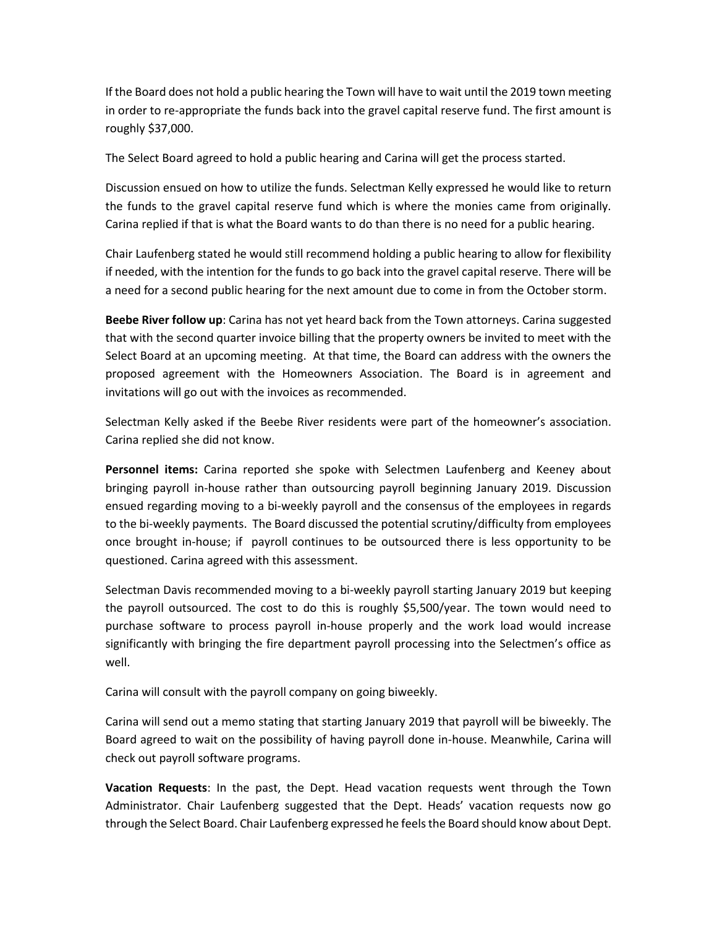If the Board does not hold a public hearing the Town will have to wait until the 2019 town meeting in order to re-appropriate the funds back into the gravel capital reserve fund. The first amount is roughly \$37,000.

The Select Board agreed to hold a public hearing and Carina will get the process started.

Discussion ensued on how to utilize the funds. Selectman Kelly expressed he would like to return the funds to the gravel capital reserve fund which is where the monies came from originally. Carina replied if that is what the Board wants to do than there is no need for a public hearing.

Chair Laufenberg stated he would still recommend holding a public hearing to allow for flexibility if needed, with the intention for the funds to go back into the gravel capital reserve. There will be a need for a second public hearing for the next amount due to come in from the October storm.

**Beebe River follow up**: Carina has not yet heard back from the Town attorneys. Carina suggested that with the second quarter invoice billing that the property owners be invited to meet with the Select Board at an upcoming meeting. At that time, the Board can address with the owners the proposed agreement with the Homeowners Association. The Board is in agreement and invitations will go out with the invoices as recommended.

Selectman Kelly asked if the Beebe River residents were part of the homeowner's association. Carina replied she did not know.

**Personnel items:** Carina reported she spoke with Selectmen Laufenberg and Keeney about bringing payroll in-house rather than outsourcing payroll beginning January 2019. Discussion ensued regarding moving to a bi-weekly payroll and the consensus of the employees in regards to the bi-weekly payments. The Board discussed the potential scrutiny/difficulty from employees once brought in-house; if payroll continues to be outsourced there is less opportunity to be questioned. Carina agreed with this assessment.

Selectman Davis recommended moving to a bi-weekly payroll starting January 2019 but keeping the payroll outsourced. The cost to do this is roughly \$5,500/year. The town would need to purchase software to process payroll in-house properly and the work load would increase significantly with bringing the fire department payroll processing into the Selectmen's office as well.

Carina will consult with the payroll company on going biweekly.

Carina will send out a memo stating that starting January 2019 that payroll will be biweekly. The Board agreed to wait on the possibility of having payroll done in-house. Meanwhile, Carina will check out payroll software programs.

**Vacation Requests**: In the past, the Dept. Head vacation requests went through the Town Administrator. Chair Laufenberg suggested that the Dept. Heads' vacation requests now go through the Select Board. Chair Laufenberg expressed he feels the Board should know about Dept.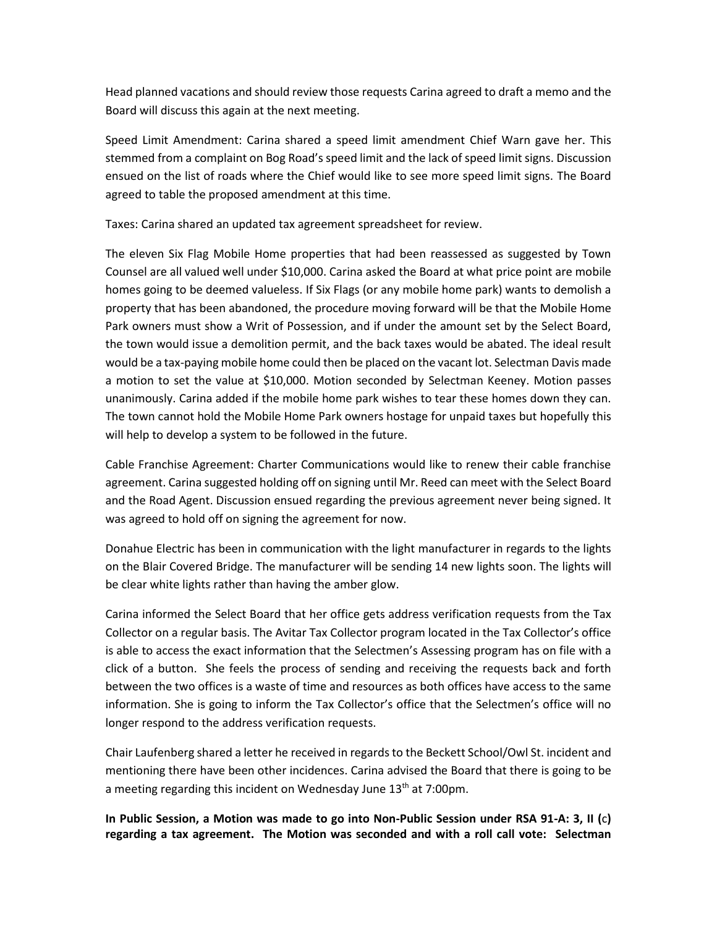Head planned vacations and should review those requests Carina agreed to draft a memo and the Board will discuss this again at the next meeting.

Speed Limit Amendment: Carina shared a speed limit amendment Chief Warn gave her. This stemmed from a complaint on Bog Road's speed limit and the lack of speed limit signs. Discussion ensued on the list of roads where the Chief would like to see more speed limit signs. The Board agreed to table the proposed amendment at this time.

Taxes: Carina shared an updated tax agreement spreadsheet for review.

The eleven Six Flag Mobile Home properties that had been reassessed as suggested by Town Counsel are all valued well under \$10,000. Carina asked the Board at what price point are mobile homes going to be deemed valueless. If Six Flags (or any mobile home park) wants to demolish a property that has been abandoned, the procedure moving forward will be that the Mobile Home Park owners must show a Writ of Possession, and if under the amount set by the Select Board, the town would issue a demolition permit, and the back taxes would be abated. The ideal result would be a tax-paying mobile home could then be placed on the vacant lot. Selectman Davis made a motion to set the value at \$10,000. Motion seconded by Selectman Keeney. Motion passes unanimously. Carina added if the mobile home park wishes to tear these homes down they can. The town cannot hold the Mobile Home Park owners hostage for unpaid taxes but hopefully this will help to develop a system to be followed in the future.

Cable Franchise Agreement: Charter Communications would like to renew their cable franchise agreement. Carina suggested holding off on signing until Mr. Reed can meet with the Select Board and the Road Agent. Discussion ensued regarding the previous agreement never being signed. It was agreed to hold off on signing the agreement for now.

Donahue Electric has been in communication with the light manufacturer in regards to the lights on the Blair Covered Bridge. The manufacturer will be sending 14 new lights soon. The lights will be clear white lights rather than having the amber glow.

Carina informed the Select Board that her office gets address verification requests from the Tax Collector on a regular basis. The Avitar Tax Collector program located in the Tax Collector's office is able to access the exact information that the Selectmen's Assessing program has on file with a click of a button. She feels the process of sending and receiving the requests back and forth between the two offices is a waste of time and resources as both offices have access to the same information. She is going to inform the Tax Collector's office that the Selectmen's office will no longer respond to the address verification requests.

Chair Laufenberg shared a letter he received in regards to the Beckett School/Owl St. incident and mentioning there have been other incidences. Carina advised the Board that there is going to be a meeting regarding this incident on Wednesday June  $13<sup>th</sup>$  at 7:00pm.

**In Public Session, a Motion was made to go into Non-Public Session under RSA 91-A: 3, II (**c**) regarding a tax agreement. The Motion was seconded and with a roll call vote: Selectman**